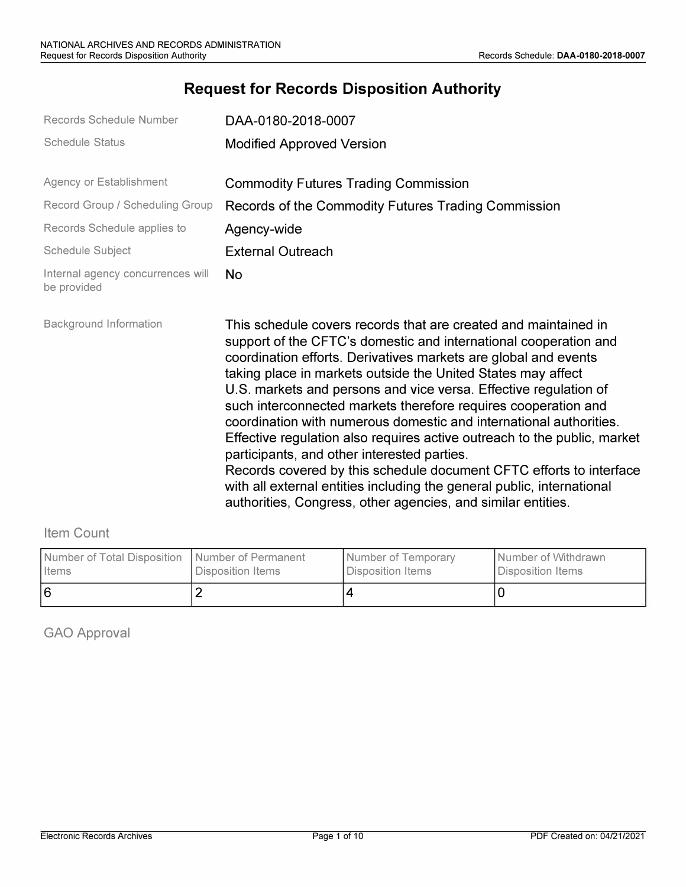# **Request for Records Disposition Authority**

| Records Schedule Number                          | DAA-0180-2018-0007                                                                                                                                                                                                                                                                                                                                                                                                                                                                                                                                                                                                                                                                                                                                                                                                             |
|--------------------------------------------------|--------------------------------------------------------------------------------------------------------------------------------------------------------------------------------------------------------------------------------------------------------------------------------------------------------------------------------------------------------------------------------------------------------------------------------------------------------------------------------------------------------------------------------------------------------------------------------------------------------------------------------------------------------------------------------------------------------------------------------------------------------------------------------------------------------------------------------|
| <b>Schedule Status</b>                           | <b>Modified Approved Version</b>                                                                                                                                                                                                                                                                                                                                                                                                                                                                                                                                                                                                                                                                                                                                                                                               |
| Agency or Establishment                          | <b>Commodity Futures Trading Commission</b>                                                                                                                                                                                                                                                                                                                                                                                                                                                                                                                                                                                                                                                                                                                                                                                    |
| Record Group / Scheduling Group                  | Records of the Commodity Futures Trading Commission                                                                                                                                                                                                                                                                                                                                                                                                                                                                                                                                                                                                                                                                                                                                                                            |
| Records Schedule applies to                      | Agency-wide                                                                                                                                                                                                                                                                                                                                                                                                                                                                                                                                                                                                                                                                                                                                                                                                                    |
| <b>Schedule Subject</b>                          | <b>External Outreach</b>                                                                                                                                                                                                                                                                                                                                                                                                                                                                                                                                                                                                                                                                                                                                                                                                       |
| Internal agency concurrences will<br>be provided | <b>No</b>                                                                                                                                                                                                                                                                                                                                                                                                                                                                                                                                                                                                                                                                                                                                                                                                                      |
| <b>Background Information</b>                    | This schedule covers records that are created and maintained in<br>support of the CFTC's domestic and international cooperation and<br>coordination efforts. Derivatives markets are global and events<br>taking place in markets outside the United States may affect<br>U.S. markets and persons and vice versa. Effective regulation of<br>such interconnected markets therefore requires cooperation and<br>coordination with numerous domestic and international authorities.<br>Effective regulation also requires active outreach to the public, market<br>participants, and other interested parties.<br>Records covered by this schedule document CFTC efforts to interface<br>with all external entities including the general public, international<br>authorities, Congress, other agencies, and similar entities. |

## Item Count

| Number of Total Disposition   Number of Permanent | l Disposition Items | <b>Number of Temporary</b> | I Number of Withdrawn |
|---------------------------------------------------|---------------------|----------------------------|-----------------------|
| I Items                                           |                     | l Disposition Items l      | Disposition Items     |
|                                                   |                     |                            |                       |

GAO Approval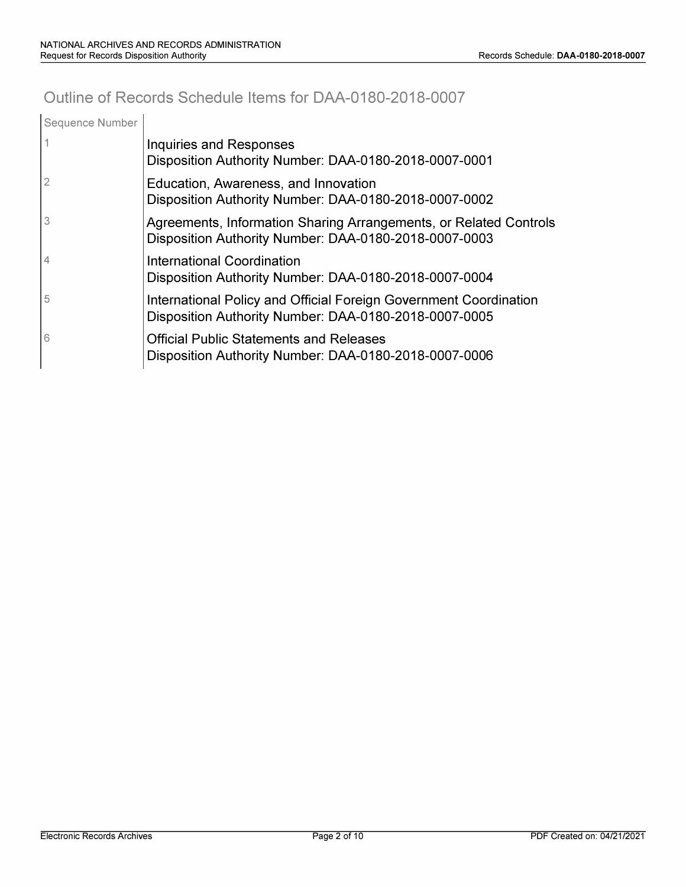# **Outline of Records Schedule Items for DAA-0180-2018-0007**

| Sequence Number |                                                                                                                            |
|-----------------|----------------------------------------------------------------------------------------------------------------------------|
|                 | Inquiries and Responses<br>Disposition Authority Number: DAA-0180-2018-0007-0001                                           |
| $\overline{2}$  | Education, Awareness, and Innovation<br>Disposition Authority Number: DAA-0180-2018-0007-0002                              |
| 3               | Agreements, Information Sharing Arrangements, or Related Controls<br>Disposition Authority Number: DAA-0180-2018-0007-0003 |
| 4               | International Coordination<br>Disposition Authority Number: DAA-0180-2018-0007-0004                                        |
| 5               | International Policy and Official Foreign Government Coordination<br>Disposition Authority Number: DAA-0180-2018-0007-0005 |
| 6               | <b>Official Public Statements and Releases</b><br>Disposition Authority Number: DAA-0180-2018-0007-0006                    |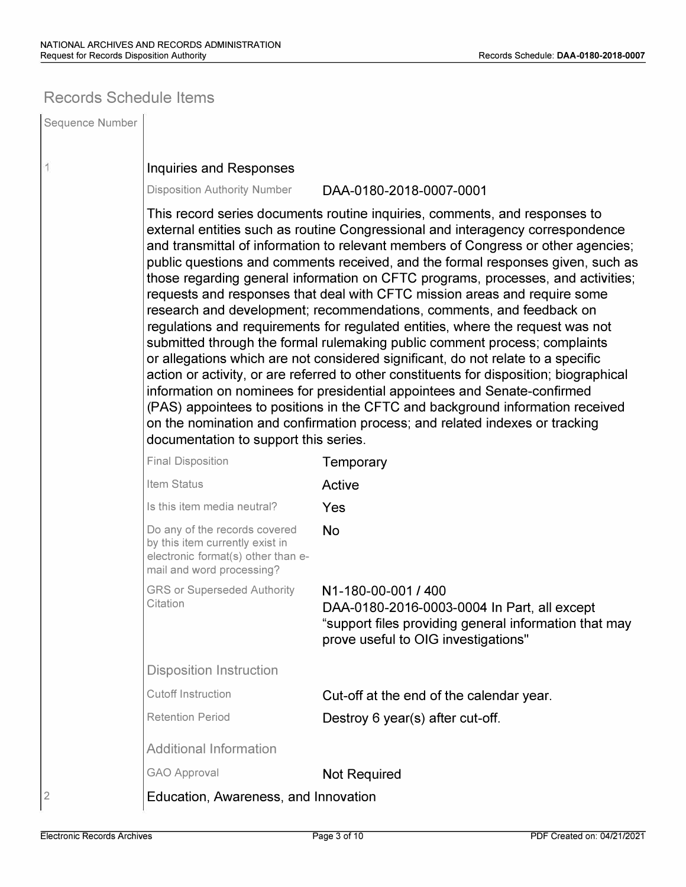## **Records Schedule Items**

| Sequence Number |                                                                                                                                                                                                                                                                                                                                                                                                                                                                                                                                                                                                                                                                                                                                                                                                                                                                                                                                                                                                                                                                                                                                                                                                                   |                                                                                                                                                                    |  |  |
|-----------------|-------------------------------------------------------------------------------------------------------------------------------------------------------------------------------------------------------------------------------------------------------------------------------------------------------------------------------------------------------------------------------------------------------------------------------------------------------------------------------------------------------------------------------------------------------------------------------------------------------------------------------------------------------------------------------------------------------------------------------------------------------------------------------------------------------------------------------------------------------------------------------------------------------------------------------------------------------------------------------------------------------------------------------------------------------------------------------------------------------------------------------------------------------------------------------------------------------------------|--------------------------------------------------------------------------------------------------------------------------------------------------------------------|--|--|
| 1               | Inquiries and Responses                                                                                                                                                                                                                                                                                                                                                                                                                                                                                                                                                                                                                                                                                                                                                                                                                                                                                                                                                                                                                                                                                                                                                                                           |                                                                                                                                                                    |  |  |
|                 | <b>Disposition Authority Number</b>                                                                                                                                                                                                                                                                                                                                                                                                                                                                                                                                                                                                                                                                                                                                                                                                                                                                                                                                                                                                                                                                                                                                                                               | DAA-0180-2018-0007-0001                                                                                                                                            |  |  |
|                 | This record series documents routine inquiries, comments, and responses to<br>external entities such as routine Congressional and interagency correspondence<br>and transmittal of information to relevant members of Congress or other agencies;<br>public questions and comments received, and the formal responses given, such as<br>those regarding general information on CFTC programs, processes, and activities;<br>requests and responses that deal with CFTC mission areas and require some<br>research and development; recommendations, comments, and feedback on<br>regulations and requirements for regulated entities, where the request was not<br>submitted through the formal rulemaking public comment process; complaints<br>or allegations which are not considered significant, do not relate to a specific<br>action or activity, or are referred to other constituents for disposition; biographical<br>information on nominees for presidential appointees and Senate-confirmed<br>(PAS) appointees to positions in the CFTC and background information received<br>on the nomination and confirmation process; and related indexes or tracking<br>documentation to support this series. |                                                                                                                                                                    |  |  |
|                 | <b>Final Disposition</b>                                                                                                                                                                                                                                                                                                                                                                                                                                                                                                                                                                                                                                                                                                                                                                                                                                                                                                                                                                                                                                                                                                                                                                                          | Temporary                                                                                                                                                          |  |  |
|                 | Item Status                                                                                                                                                                                                                                                                                                                                                                                                                                                                                                                                                                                                                                                                                                                                                                                                                                                                                                                                                                                                                                                                                                                                                                                                       | Active                                                                                                                                                             |  |  |
|                 | Is this item media neutral?                                                                                                                                                                                                                                                                                                                                                                                                                                                                                                                                                                                                                                                                                                                                                                                                                                                                                                                                                                                                                                                                                                                                                                                       | Yes                                                                                                                                                                |  |  |
|                 | Do any of the records covered<br>by this item currently exist in<br>electronic format(s) other than e-<br>mail and word processing?                                                                                                                                                                                                                                                                                                                                                                                                                                                                                                                                                                                                                                                                                                                                                                                                                                                                                                                                                                                                                                                                               | <b>No</b>                                                                                                                                                          |  |  |
|                 | <b>GRS or Superseded Authority</b><br>Citation                                                                                                                                                                                                                                                                                                                                                                                                                                                                                                                                                                                                                                                                                                                                                                                                                                                                                                                                                                                                                                                                                                                                                                    | N1-180-00-001 / 400<br>DAA-0180-2016-0003-0004 In Part, all except<br>"support files providing general information that may<br>prove useful to OIG investigations" |  |  |
|                 | <b>Disposition Instruction</b>                                                                                                                                                                                                                                                                                                                                                                                                                                                                                                                                                                                                                                                                                                                                                                                                                                                                                                                                                                                                                                                                                                                                                                                    |                                                                                                                                                                    |  |  |
|                 | <b>Cutoff Instruction</b>                                                                                                                                                                                                                                                                                                                                                                                                                                                                                                                                                                                                                                                                                                                                                                                                                                                                                                                                                                                                                                                                                                                                                                                         | Cut-off at the end of the calendar year.                                                                                                                           |  |  |
|                 | <b>Retention Period</b>                                                                                                                                                                                                                                                                                                                                                                                                                                                                                                                                                                                                                                                                                                                                                                                                                                                                                                                                                                                                                                                                                                                                                                                           | Destroy 6 year(s) after cut-off.                                                                                                                                   |  |  |
|                 | <b>Additional Information</b>                                                                                                                                                                                                                                                                                                                                                                                                                                                                                                                                                                                                                                                                                                                                                                                                                                                                                                                                                                                                                                                                                                                                                                                     |                                                                                                                                                                    |  |  |
|                 | <b>GAO Approval</b>                                                                                                                                                                                                                                                                                                                                                                                                                                                                                                                                                                                                                                                                                                                                                                                                                                                                                                                                                                                                                                                                                                                                                                                               | <b>Not Required</b>                                                                                                                                                |  |  |
| $\overline{2}$  | Education, Awareness, and Innovation                                                                                                                                                                                                                                                                                                                                                                                                                                                                                                                                                                                                                                                                                                                                                                                                                                                                                                                                                                                                                                                                                                                                                                              |                                                                                                                                                                    |  |  |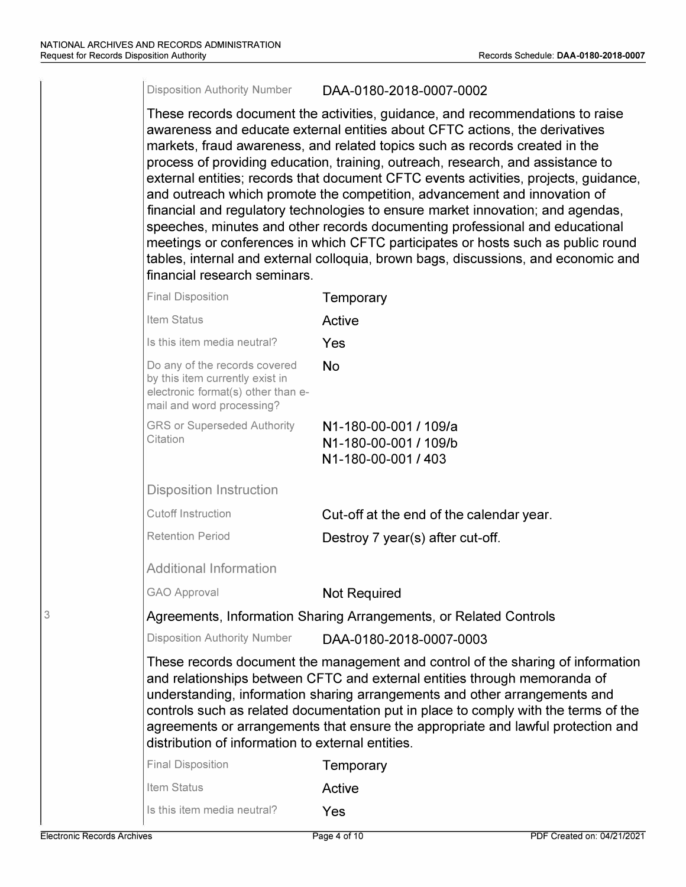#### Disposition Authority Number DAA-0180-2018-0007-0002

These records document the activities, guidance, and recommendations to raise awareness and educate external entities about CFTC actions, the derivatives markets, fraud awareness, and related topics such as records created in the process of providing education, training, outreach, research, and assistance to external entities; records that document CFTC events activities, projects, guidance, and outreach which promote the competition, advancement and innovation of financial and regulatory technologies to ensure market innovation; and agendas, speeches, minutes and other records documenting professional and educational meetings or conferences in which CFTC participates or hosts such as public round tables, internal and external colloquia, brown bags, discussions, and economic and financial research seminars. Final Disposition **Temporary** Item Status **Active** Is this item media neutral? Yes Do any of the records covered  $N_0$ by this item currently exist in electronic format(s) other than email and word processing? GRS or Superseded Authority N 1-180-00-001 *I* 109/a N 1-180-00-001 / 109/b N1-180-00-001 / 403 Disposition Instruction Cutoff Instruction Cut-off at the end of the calendar year. Retention Period **Destroy 7 year(s) after cut-off.** Additional Information GAO Approval **Not Required** Agreements, Information Sharing Arrangements, or Related Controls Disposition Authority Number DAA-0180-2018-0007-0003 These records document the management and control of the sharing of information and relationships between CFTC and external entities through memoranda of understanding, information sharing arrangements and other arrangements and controls such as related documentation put in place to comply with the terms of the agreements or arrangements that ensure the appropriate and lawful protection and distribution of information to external entities. Final Disposition **Temporary** Item Status **Active** Is this item media neutral? Yes

3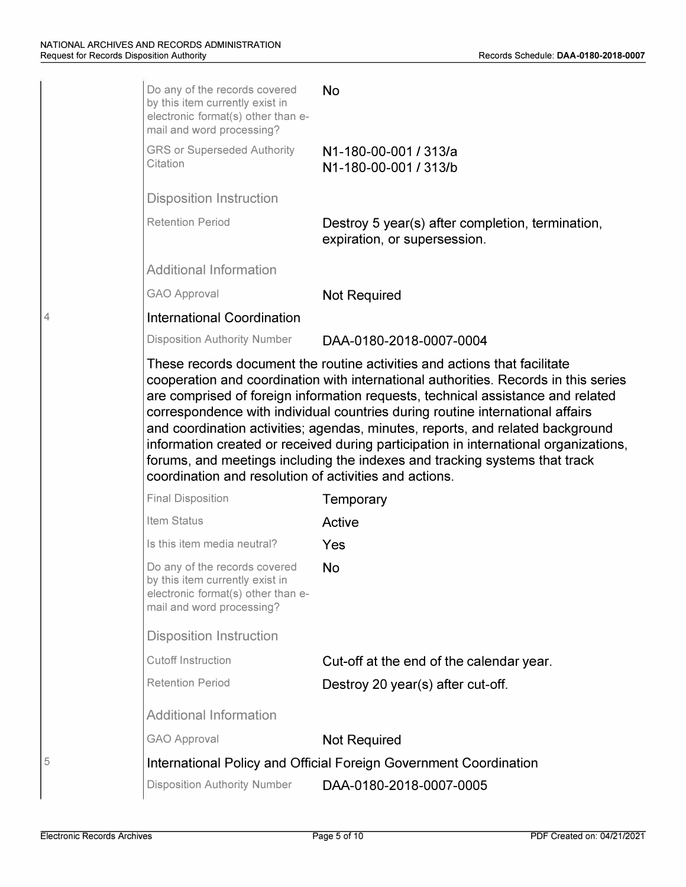|   | Do any of the records covered<br>by this item currently exist in<br>electronic format(s) other than e-<br>mail and word processing? | <b>No</b>                                                                                                                                                                                                                                                                                                                                                                                                                                                                                                       |
|---|-------------------------------------------------------------------------------------------------------------------------------------|-----------------------------------------------------------------------------------------------------------------------------------------------------------------------------------------------------------------------------------------------------------------------------------------------------------------------------------------------------------------------------------------------------------------------------------------------------------------------------------------------------------------|
|   | <b>GRS or Superseded Authority</b><br>Citation                                                                                      | N1-180-00-001 / 313/a<br>N1-180-00-001 / 313/b                                                                                                                                                                                                                                                                                                                                                                                                                                                                  |
|   | <b>Disposition Instruction</b>                                                                                                      |                                                                                                                                                                                                                                                                                                                                                                                                                                                                                                                 |
|   | <b>Retention Period</b>                                                                                                             | Destroy 5 year(s) after completion, termination,<br>expiration, or supersession.                                                                                                                                                                                                                                                                                                                                                                                                                                |
|   | <b>Additional Information</b>                                                                                                       |                                                                                                                                                                                                                                                                                                                                                                                                                                                                                                                 |
|   | <b>GAO Approval</b>                                                                                                                 | <b>Not Required</b>                                                                                                                                                                                                                                                                                                                                                                                                                                                                                             |
|   | <b>International Coordination</b>                                                                                                   |                                                                                                                                                                                                                                                                                                                                                                                                                                                                                                                 |
|   | <b>Disposition Authority Number</b>                                                                                                 | DAA-0180-2018-0007-0004                                                                                                                                                                                                                                                                                                                                                                                                                                                                                         |
|   | coordination and resolution of activities and actions.                                                                              | cooperation and coordination with international authorities. Records in this series<br>are comprised of foreign information requests, technical assistance and related<br>correspondence with individual countries during routine international affairs<br>and coordination activities; agendas, minutes, reports, and related background<br>information created or received during participation in international organizations,<br>forums, and meetings including the indexes and tracking systems that track |
|   | <b>Final Disposition</b>                                                                                                            | Temporary                                                                                                                                                                                                                                                                                                                                                                                                                                                                                                       |
|   | Item Status                                                                                                                         | Active                                                                                                                                                                                                                                                                                                                                                                                                                                                                                                          |
|   | Is this item media neutral?                                                                                                         | Yes                                                                                                                                                                                                                                                                                                                                                                                                                                                                                                             |
|   | Do any of the records covered<br>by this item currently exist in<br>electronic format(s) other than e-<br>mail and word processing? | <b>No</b>                                                                                                                                                                                                                                                                                                                                                                                                                                                                                                       |
|   | <b>Disposition Instruction</b>                                                                                                      |                                                                                                                                                                                                                                                                                                                                                                                                                                                                                                                 |
|   | <b>Cutoff Instruction</b>                                                                                                           | Cut-off at the end of the calendar year.                                                                                                                                                                                                                                                                                                                                                                                                                                                                        |
|   | <b>Retention Period</b>                                                                                                             | Destroy 20 year(s) after cut-off.                                                                                                                                                                                                                                                                                                                                                                                                                                                                               |
|   | <b>Additional Information</b>                                                                                                       |                                                                                                                                                                                                                                                                                                                                                                                                                                                                                                                 |
|   | <b>GAO Approval</b>                                                                                                                 | <b>Not Required</b>                                                                                                                                                                                                                                                                                                                                                                                                                                                                                             |
| 5 |                                                                                                                                     | International Policy and Official Foreign Government Coordination                                                                                                                                                                                                                                                                                                                                                                                                                                               |
|   | <b>Disposition Authority Number</b>                                                                                                 | DAA-0180-2018-0007-0005                                                                                                                                                                                                                                                                                                                                                                                                                                                                                         |
|   |                                                                                                                                     |                                                                                                                                                                                                                                                                                                                                                                                                                                                                                                                 |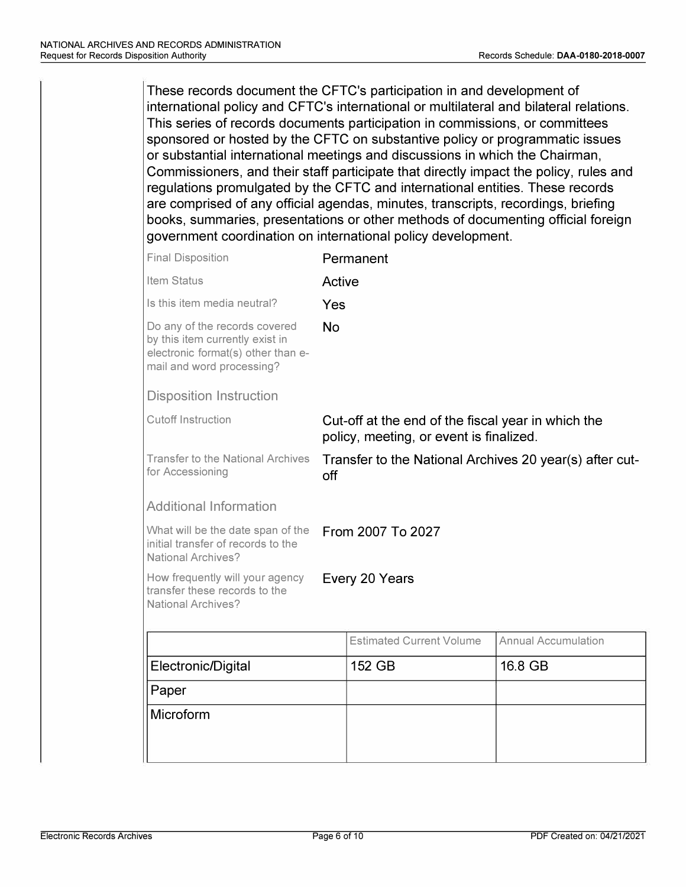These records document the CFTC's participation in and development of international policy and CFTC's international or multilateral and bilateral relations. This series of records documents participation in commissions, or committees sponsored or hosted by the CFTC on substantive policy or programmatic issues or substantial international meetings and discussions in which the Chairman, Commissioners, and their staff participate that directly impact the policy, rules and regulations promulgated by the CFTC and international entities. These records are comprised of any official agendas, minutes, transcripts, recordings, briefing books, summaries, presentations or other methods of documenting official foreign government coordination on international policy development.

| <b>Final Disposition</b>                                                                                                            |                                                                                               | Permanent                       |                            |
|-------------------------------------------------------------------------------------------------------------------------------------|-----------------------------------------------------------------------------------------------|---------------------------------|----------------------------|
| <b>Item Status</b>                                                                                                                  | Active                                                                                        |                                 |                            |
| Is this item media neutral?                                                                                                         | Yes                                                                                           |                                 |                            |
| Do any of the records covered<br>by this item currently exist in<br>electronic format(s) other than e-<br>mail and word processing? | <b>No</b>                                                                                     |                                 |                            |
| <b>Disposition Instruction</b>                                                                                                      |                                                                                               |                                 |                            |
| <b>Cutoff Instruction</b>                                                                                                           | Cut-off at the end of the fiscal year in which the<br>policy, meeting, or event is finalized. |                                 |                            |
| <b>Transfer to the National Archives</b><br>for Accessioning                                                                        | Transfer to the National Archives 20 year(s) after cut-<br>off                                |                                 |                            |
| <b>Additional Information</b>                                                                                                       |                                                                                               |                                 |                            |
| What will be the date span of the<br>initial transfer of records to the<br><b>National Archives?</b>                                |                                                                                               | From 2007 To 2027               |                            |
| How frequently will your agency<br>transfer these records to the<br><b>National Archives?</b>                                       |                                                                                               | Every 20 Years                  |                            |
|                                                                                                                                     |                                                                                               | <b>Estimated Current Volume</b> | <b>Annual Accumulation</b> |
| Electronic/Digital                                                                                                                  |                                                                                               | 152 GB                          | 16.8 GB                    |
| Paper                                                                                                                               |                                                                                               |                                 |                            |
| Microform                                                                                                                           |                                                                                               |                                 |                            |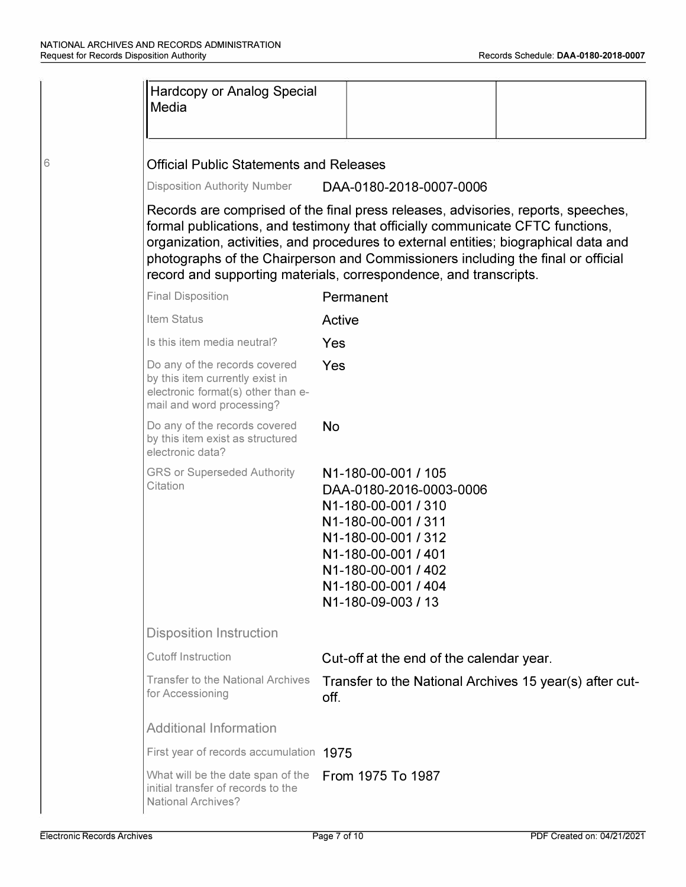6

| <b>Hardcopy or Analog Special</b><br>Media                                                                                          |                                                                                                                                                                                                                                                                                                                                                                                                                      |  |
|-------------------------------------------------------------------------------------------------------------------------------------|----------------------------------------------------------------------------------------------------------------------------------------------------------------------------------------------------------------------------------------------------------------------------------------------------------------------------------------------------------------------------------------------------------------------|--|
| <b>Official Public Statements and Releases</b>                                                                                      |                                                                                                                                                                                                                                                                                                                                                                                                                      |  |
| <b>Disposition Authority Number</b>                                                                                                 | DAA-0180-2018-0007-0006                                                                                                                                                                                                                                                                                                                                                                                              |  |
|                                                                                                                                     | Records are comprised of the final press releases, advisories, reports, speeches,<br>formal publications, and testimony that officially communicate CFTC functions,<br>organization, activities, and procedures to external entities; biographical data and<br>photographs of the Chairperson and Commissioners including the final or official<br>record and supporting materials, correspondence, and transcripts. |  |
| <b>Final Disposition</b>                                                                                                            | Permanent                                                                                                                                                                                                                                                                                                                                                                                                            |  |
| Item Status                                                                                                                         | Active                                                                                                                                                                                                                                                                                                                                                                                                               |  |
| Is this item media neutral?                                                                                                         | Yes                                                                                                                                                                                                                                                                                                                                                                                                                  |  |
| Do any of the records covered<br>by this item currently exist in<br>electronic format(s) other than e-<br>mail and word processing? | Yes                                                                                                                                                                                                                                                                                                                                                                                                                  |  |
| Do any of the records covered<br>by this item exist as structured<br>electronic data?                                               | <b>No</b>                                                                                                                                                                                                                                                                                                                                                                                                            |  |
| <b>GRS or Superseded Authority</b><br>Citation                                                                                      | N1-180-00-001 / 105<br>DAA-0180-2016-0003-0006<br>N1-180-00-001 / 310<br>N1-180-00-001 / 311<br>N1-180-00-001 / 312<br>N1-180-00-001 / 401<br>N1-180-00-001 / 402<br>N1-180-00-001 / 404<br>N1-180-09-003 / 13                                                                                                                                                                                                       |  |
| <b>Disposition Instruction</b>                                                                                                      |                                                                                                                                                                                                                                                                                                                                                                                                                      |  |
| <b>Cutoff Instruction</b>                                                                                                           | Cut-off at the end of the calendar year.                                                                                                                                                                                                                                                                                                                                                                             |  |
| <b>Transfer to the National Archives</b><br>for Accessioning                                                                        | Transfer to the National Archives 15 year(s) after cut-<br>off.                                                                                                                                                                                                                                                                                                                                                      |  |
| <b>Additional Information</b>                                                                                                       |                                                                                                                                                                                                                                                                                                                                                                                                                      |  |
| First year of records accumulation 1975                                                                                             |                                                                                                                                                                                                                                                                                                                                                                                                                      |  |
| What will be the date span of the<br>initial transfer of records to the<br><b>National Archives?</b>                                | From 1975 To 1987                                                                                                                                                                                                                                                                                                                                                                                                    |  |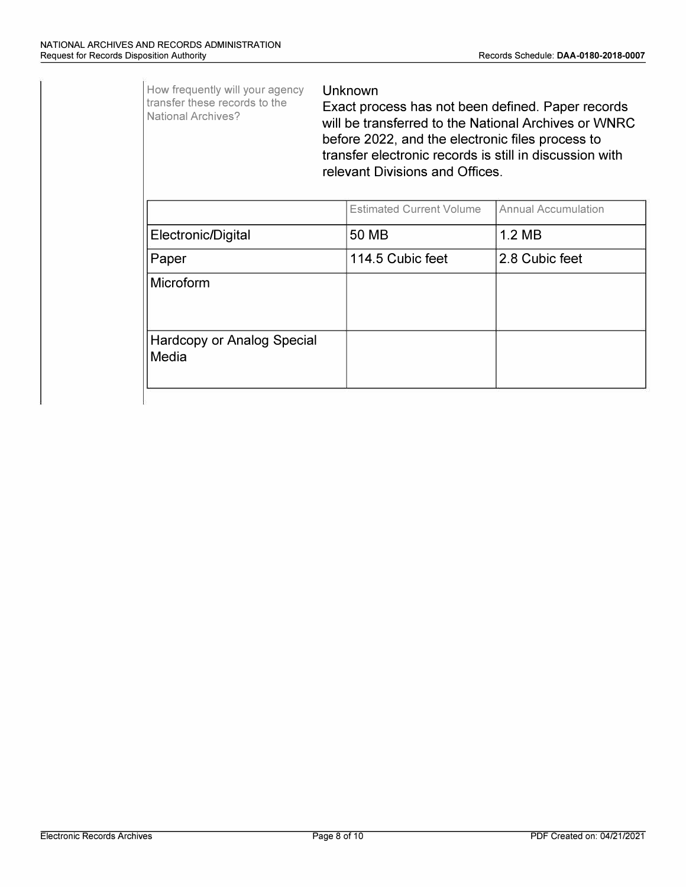How frequently will your agency transfer these records to the National Archives? Electronic/Digital Paper Microform Hardcopy or Analog Special **Media** Unknown Exact process has not been defined. Paper records will be transferred to the National Archives or WNRC before 2022, and the electronic files process to transfer electronic records is still in discussion with relevant Divisions and Offices. Estimated Current Volume | Annual Accumulation 50 MB 1.2 MB 114.5 Cubic feet 2.8 Cubic feet